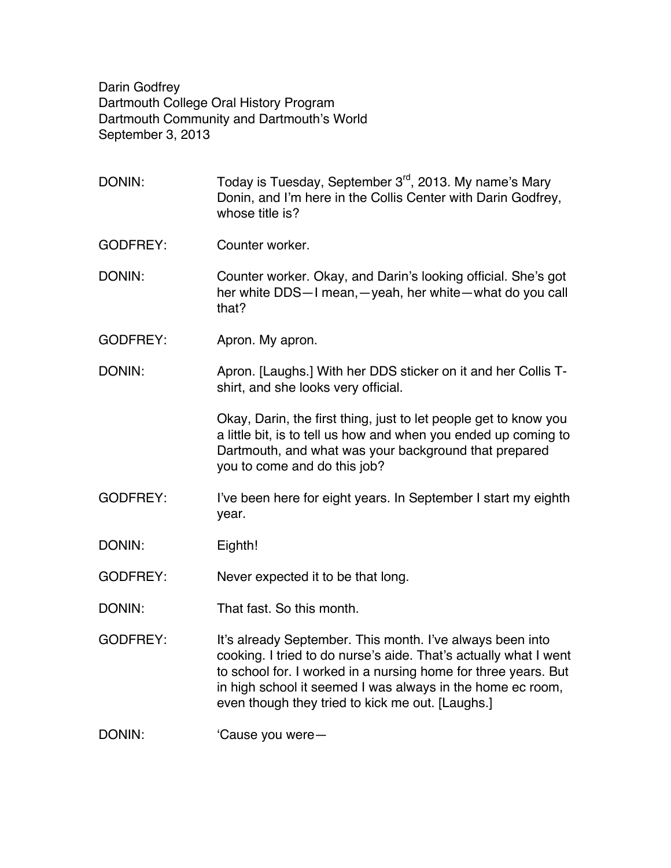Darin Godfrey Dartmouth College Oral History Program Dartmouth Community and Dartmouth's World September 3, 2013

DONIN: Today is Tuesday, September 3<sup>rd</sup>, 2013. My name's Mary Donin, and I'm here in the Collis Center with Darin Godfrey, whose title is? GODFREY: Counter worker. DONIN: Counter worker. Okay, and Darin's looking official. She's got her white DDS—I mean,—yeah, her white—what do you call that? GODFREY: Apron. My apron. DONIN: Apron. [Laughs.] With her DDS sticker on it and her Collis Tshirt, and she looks very official. Okay, Darin, the first thing, just to let people get to know you a little bit, is to tell us how and when you ended up coming to Dartmouth, and what was your background that prepared you to come and do this job? GODFREY: I've been here for eight years. In September I start my eighth year. DONIN: Eighth! GODFREY: Never expected it to be that long. DONIN: That fast. So this month. GODFREY: It's already September. This month. I've always been into cooking. I tried to do nurse's aide. That's actually what I went to school for. I worked in a nursing home for three years. But in high school it seemed I was always in the home ec room, even though they tried to kick me out. [Laughs.] DONIN: 'Cause you were-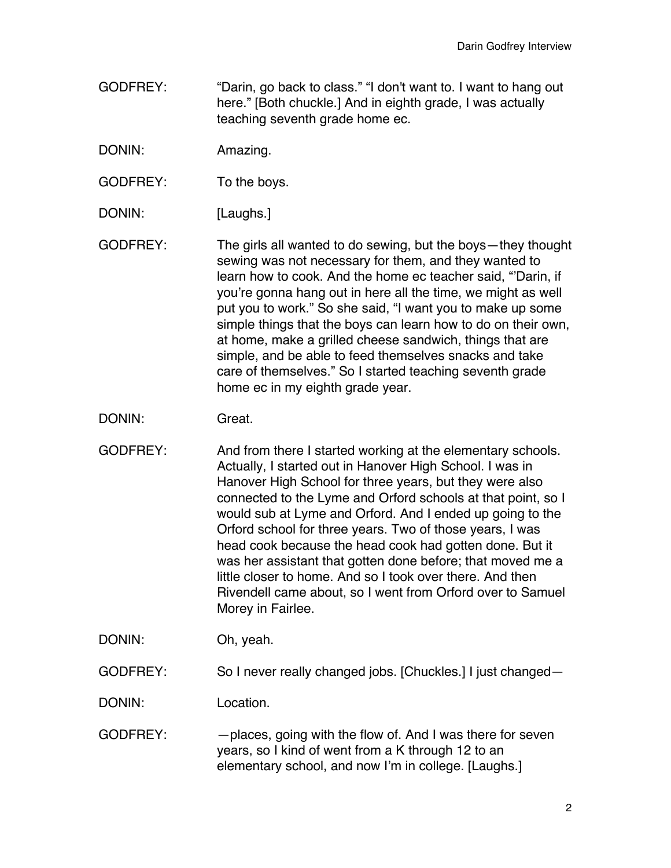- GODFREY: "Darin, go back to class." "I don't want to. I want to hang out here." [Both chuckle.] And in eighth grade, I was actually teaching seventh grade home ec.
- DONIN: Amazing.
- GODFREY: To the boys.
- DONIN: [Laughs.]
- GODFREY: The girls all wanted to do sewing, but the boys—they thought sewing was not necessary for them, and they wanted to learn how to cook. And the home ec teacher said, "'Darin, if you're gonna hang out in here all the time, we might as well put you to work." So she said, "I want you to make up some simple things that the boys can learn how to do on their own, at home, make a grilled cheese sandwich, things that are simple, and be able to feed themselves snacks and take care of themselves." So I started teaching seventh grade home ec in my eighth grade year.
- DONIN: Great.
- GODFREY: And from there I started working at the elementary schools. Actually, I started out in Hanover High School. I was in Hanover High School for three years, but they were also connected to the Lyme and Orford schools at that point, so I would sub at Lyme and Orford. And I ended up going to the Orford school for three years. Two of those years, I was head cook because the head cook had gotten done. But it was her assistant that gotten done before; that moved me a little closer to home. And so I took over there. And then Rivendell came about, so I went from Orford over to Samuel Morey in Fairlee.

DONIN: Oh, yeah.

GODFREY: So I never really changed jobs. [Chuckles.] I just changed—

DONIN: Location.

GODFREY: —places, going with the flow of. And I was there for seven years, so I kind of went from a K through 12 to an elementary school, and now I'm in college. [Laughs.]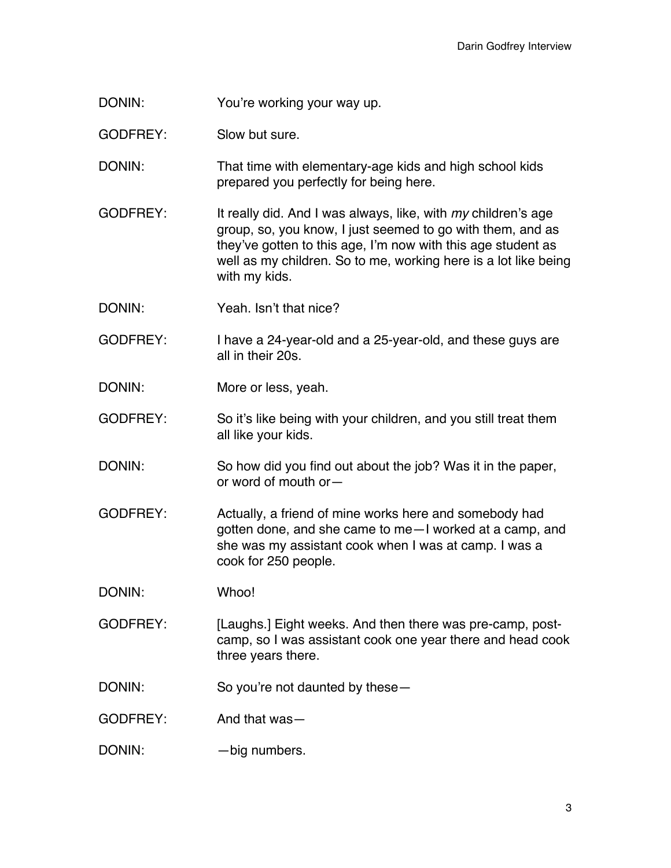DONIN: You're working your way up.

GODFREY: Slow but sure.

DONIN: That time with elementary-age kids and high school kids prepared you perfectly for being here.

GODFREY: It really did. And I was always, like, with *my* children's age group, so, you know, I just seemed to go with them, and as they've gotten to this age, I'm now with this age student as well as my children. So to me, working here is a lot like being with my kids.

DONIN: Yeah. Isn't that nice?

GODFREY: I have a 24-year-old and a 25-year-old, and these guys are all in their 20s.

DONIN: More or less, yeah.

GODFREY: So it's like being with your children, and you still treat them all like your kids.

DONIN: So how did you find out about the job? Was it in the paper, or word of mouth or—

GODFREY: Actually, a friend of mine works here and somebody had gotten done, and she came to me—I worked at a camp, and she was my assistant cook when I was at camp. I was a cook for 250 people.

DONIN: Whoo!

GODFREY: [Laughs.] Eight weeks. And then there was pre-camp, postcamp, so I was assistant cook one year there and head cook three years there.

DONIN: So you're not daunted by these-

GODFREY: And that was—

DONIN: — big numbers.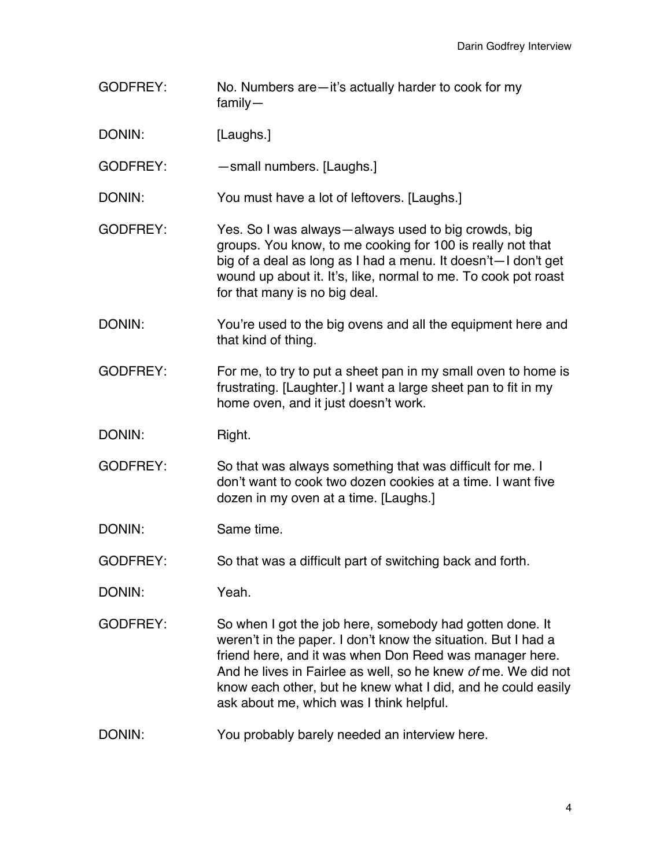- GODFREY: No. Numbers are—it's actually harder to cook for my family—
- DONIN: [Laughs.]

GODFREY: — — small numbers. [Laughs.]

- DONIN: You must have a lot of leftovers. [Laughs.]
- GODFREY: Yes. So I was always—always used to big crowds, big groups. You know, to me cooking for 100 is really not that big of a deal as long as I had a menu. It doesn't—I don't get wound up about it. It's, like, normal to me. To cook pot roast for that many is no big deal.
- DONIN: You're used to the big ovens and all the equipment here and that kind of thing.
- GODFREY: For me, to try to put a sheet pan in my small oven to home is frustrating. [Laughter.] I want a large sheet pan to fit in my home oven, and it just doesn't work.
- DONIN: Right.
- GODFREY: So that was always something that was difficult for me. I don't want to cook two dozen cookies at a time. I want five dozen in my oven at a time. [Laughs.]
- DONIN: Same time.
- GODFREY: So that was a difficult part of switching back and forth.
- DONIN: Yeah.
- GODFREY: So when I got the job here, somebody had gotten done. It weren't in the paper. I don't know the situation. But I had a friend here, and it was when Don Reed was manager here. And he lives in Fairlee as well, so he knew *of* me. We did not know each other, but he knew what I did, and he could easily ask about me, which was I think helpful.
- DONIN: You probably barely needed an interview here.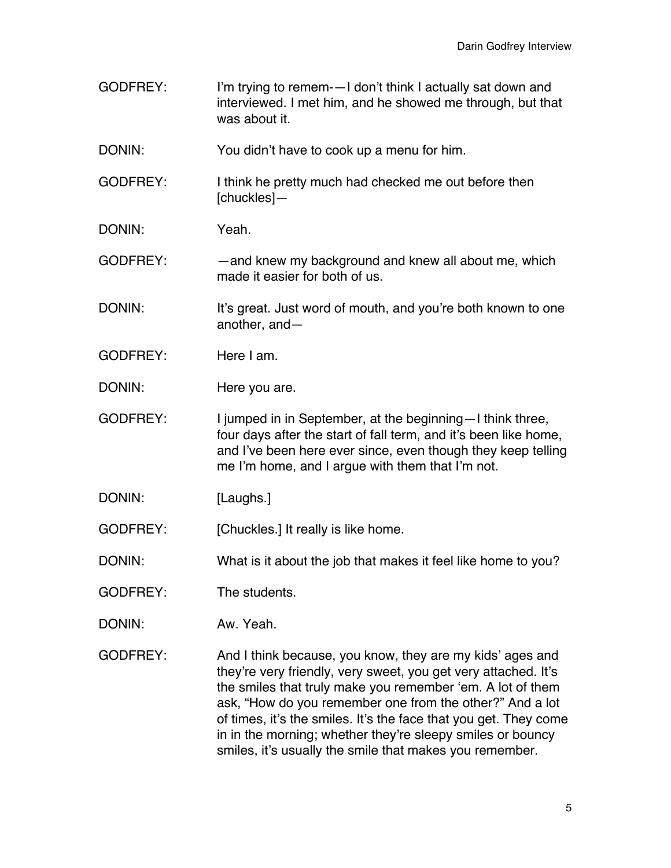GODFREY: I'm trying to remem-—I don't think I actually sat down and interviewed. I met him, and he showed me through, but that was about it. DONIN: You didn't have to cook up a menu for him. GODFREY: I think he pretty much had checked me out before then [chuckles]— DONIN: Yeah. GODFREY: — — and knew my background and knew all about me, which made it easier for both of us. DONIN: It's great. Just word of mouth, and you're both known to one another, and— GODFREY: Here I am. DONIN: Here you are. GODFREY: I jumped in in September, at the beginning—I think three, four days after the start of fall term, and it's been like home, and I've been here ever since, even though they keep telling me I'm home, and I argue with them that I'm not. DONIN: [Laughs.] GODFREY: [Chuckles.] It really is like home. DONIN: What is it about the job that makes it feel like home to you? GODFREY: The students. DONIN: Aw. Yeah. GODFREY: And I think because, you know, they are my kids' ages and they're very friendly, very sweet, you get very attached. It's the smiles that truly make you remember 'em. A lot of them ask, "How do you remember one from the other?" And a lot of times, it's the smiles. It's the face that you get. They come in in the morning; whether they're sleepy smiles or bouncy

smiles, it's usually the smile that makes you remember.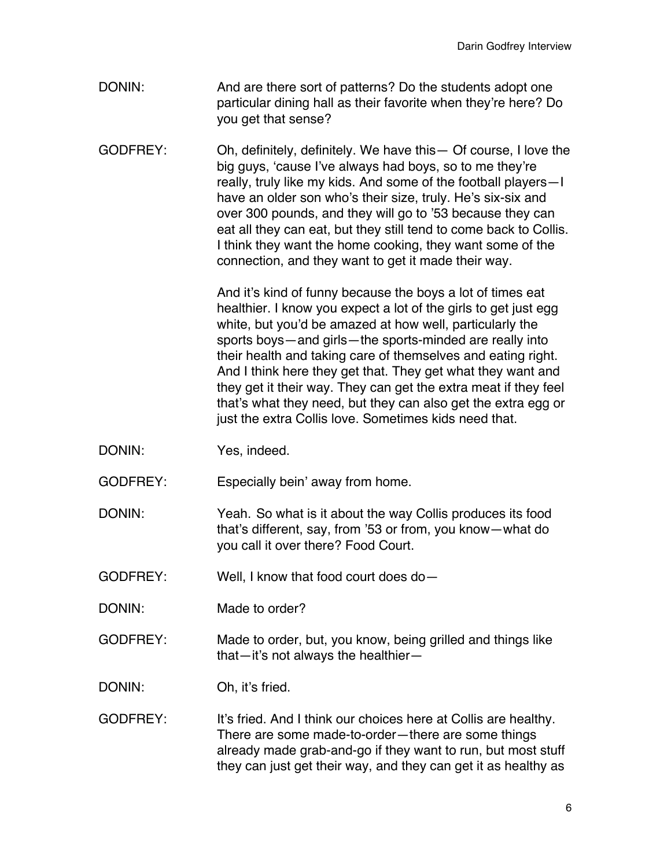- DONIN: And are there sort of patterns? Do the students adopt one particular dining hall as their favorite when they're here? Do you get that sense?
- GODFREY: Oh, definitely, definitely. We have this— Of course, I love the big guys, 'cause I've always had boys, so to me they're really, truly like my kids. And some of the football players—I have an older son who's their size, truly. He's six-six and over 300 pounds, and they will go to '53 because they can eat all they can eat, but they still tend to come back to Collis. I think they want the home cooking, they want some of the connection, and they want to get it made their way.

And it's kind of funny because the boys a lot of times eat healthier. I know you expect a lot of the girls to get just egg white, but you'd be amazed at how well, particularly the sports boys—and girls—the sports-minded are really into their health and taking care of themselves and eating right. And I think here they get that. They get what they want and they get it their way. They can get the extra meat if they feel that's what they need, but they can also get the extra egg or just the extra Collis love. Sometimes kids need that.

DONIN: Yes, indeed.

GODFREY: Especially bein' away from home.

DONIN: Yeah. So what is it about the way Collis produces its food that's different, say, from '53 or from, you know—what do you call it over there? Food Court.

GODFREY: Well, I know that food court does do—

DONIN: Made to order?

GODFREY: Made to order, but, you know, being grilled and things like that—it's not always the healthier—

DONIN: Oh, it's fried.

GODFREY: It's fried. And I think our choices here at Collis are healthy. There are some made-to-order—there are some things already made grab-and-go if they want to run, but most stuff they can just get their way, and they can get it as healthy as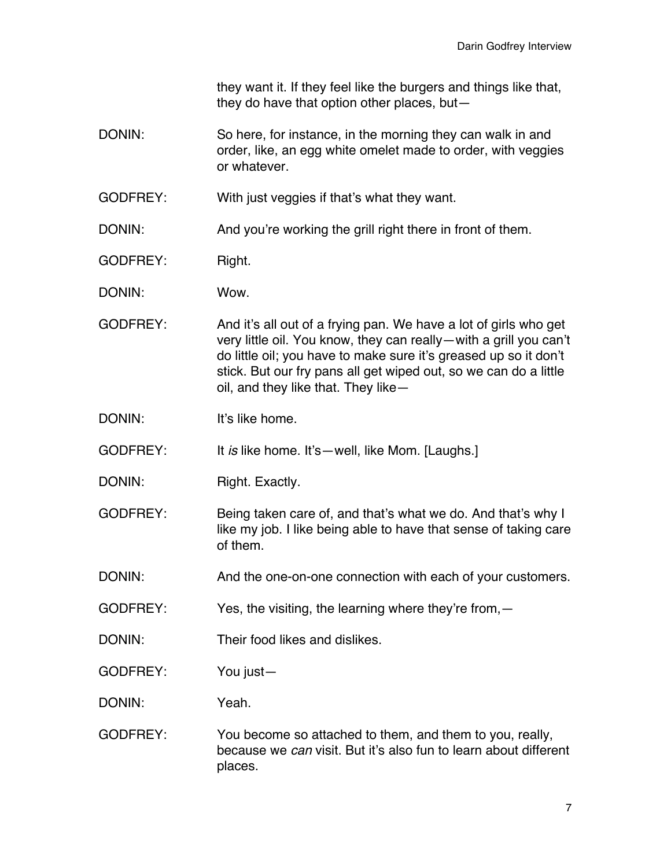they want it. If they feel like the burgers and things like that, they do have that option other places, but—

DONIN: So here, for instance, in the morning they can walk in and order, like, an egg white omelet made to order, with veggies or whatever.

GODFREY: With just veggies if that's what they want.

DONIN: And you're working the grill right there in front of them.

GODFREY: Right.

DONIN: Wow.

GODFREY: And it's all out of a frying pan. We have a lot of girls who get very little oil. You know, they can really—with a grill you can't do little oil; you have to make sure it's greased up so it don't stick. But our fry pans all get wiped out, so we can do a little oil, and they like that. They like—

DONIN: It's like home.

GODFREY: It *is* like home. It's—well, like Mom. [Laughs.]

- DONIN: Right. Exactly.
- GODFREY: Being taken care of, and that's what we do. And that's why I like my job. I like being able to have that sense of taking care of them.

DONIN: And the one-on-one connection with each of your customers.

- GODFREY: Yes, the visiting, the learning where they're from, -
- DONIN: Their food likes and dislikes.

GODFREY: You just—

DONIN: Yeah.

GODFREY: You become so attached to them, and them to you, really, because we *can* visit. But it's also fun to learn about different places.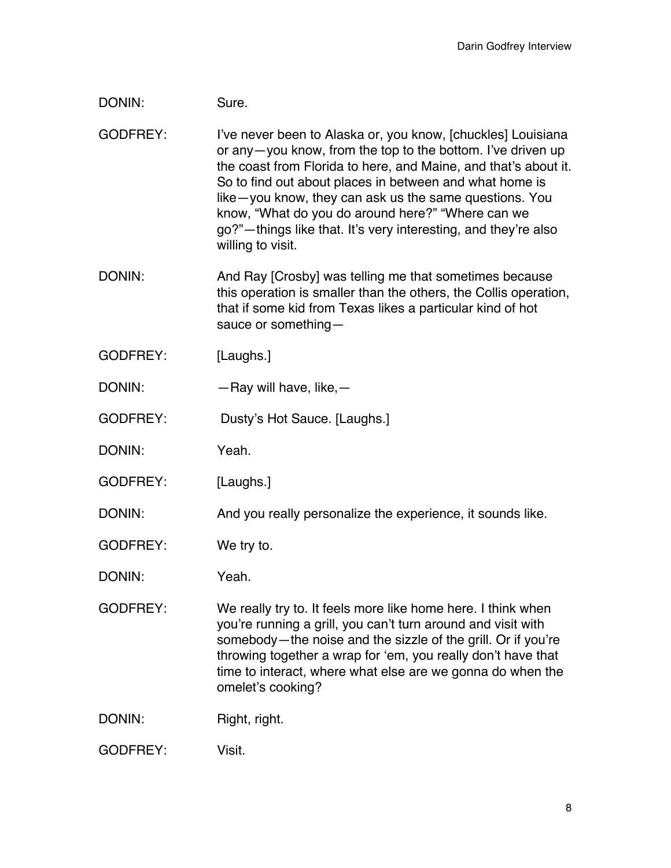## DONIN: Sure.

GODFREY: I've never been to Alaska or, you know, [chuckles] Louisiana or any—you know, from the top to the bottom. I've driven up the coast from Florida to here, and Maine, and that's about it. So to find out about places in between and what home is like—you know, they can ask us the same questions. You know, "What do you do around here?" "Where can we go?"—things like that. It's very interesting, and they're also willing to visit.

- DONIN: And Ray [Crosby] was telling me that sometimes because this operation is smaller than the others, the Collis operation, that if some kid from Texas likes a particular kind of hot sauce or something—
- GODFREY: [Laughs.]
- DONIN: — Ray will have, like, —
- GODFREY: Dusty's Hot Sauce. [Laughs.]

DONIN: Yeah.

GODFREY: [Laughs.]

DONIN: And you really personalize the experience, it sounds like.

- GODFREY: We try to.
- DONIN: Yeah.
- GODFREY: We really try to. It feels more like home here. I think when you're running a grill, you can't turn around and visit with somebody—the noise and the sizzle of the grill. Or if you're throwing together a wrap for 'em, you really don't have that time to interact, where what else are we gonna do when the omelet's cooking?

DONIN: Right, right.

GODFREY: Visit.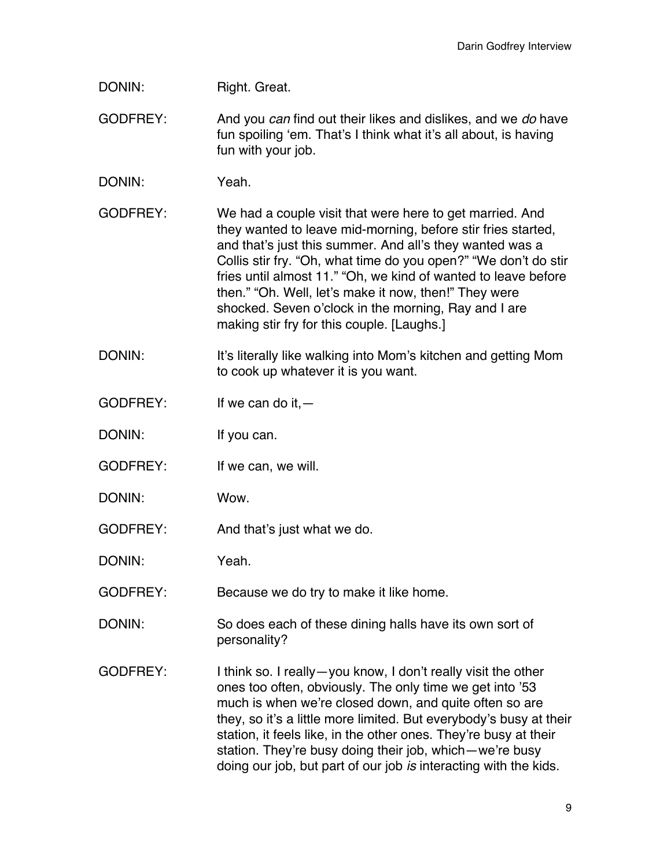| DONIN: | Right. Great. |  |
|--------|---------------|--|
|--------|---------------|--|

- GODFREY: And you *can* find out their likes and dislikes, and we *do* have fun spoiling 'em. That's I think what it's all about, is having fun with your job.
- DONIN: Yeah.
- GODFREY: We had a couple visit that were here to get married. And they wanted to leave mid-morning, before stir fries started, and that's just this summer. And all's they wanted was a Collis stir fry. "Oh, what time do you open?" "We don't do stir fries until almost 11." "Oh, we kind of wanted to leave before then." "Oh. Well, let's make it now, then!" They were shocked. Seven o'clock in the morning, Ray and I are making stir fry for this couple. [Laughs.]
- DONIN: It's literally like walking into Mom's kitchen and getting Mom to cook up whatever it is you want.
- $GODFREF:$  If we can do it,  $-$
- DONIN: If you can.
- GODFREY: If we can, we will.
- DONIN: Wow.
- GODFREY: And that's just what we do.
- DONIN: Yeah.
- GODFREY: Because we do try to make it like home.
- DONIN: So does each of these dining halls have its own sort of personality?
- GODFREY: I think so. I really—you know, I don't really visit the other ones too often, obviously. The only time we get into '53 much is when we're closed down, and quite often so are they, so it's a little more limited. But everybody's busy at their station, it feels like, in the other ones. They're busy at their station. They're busy doing their job, which—we're busy doing our job, but part of our job *is* interacting with the kids.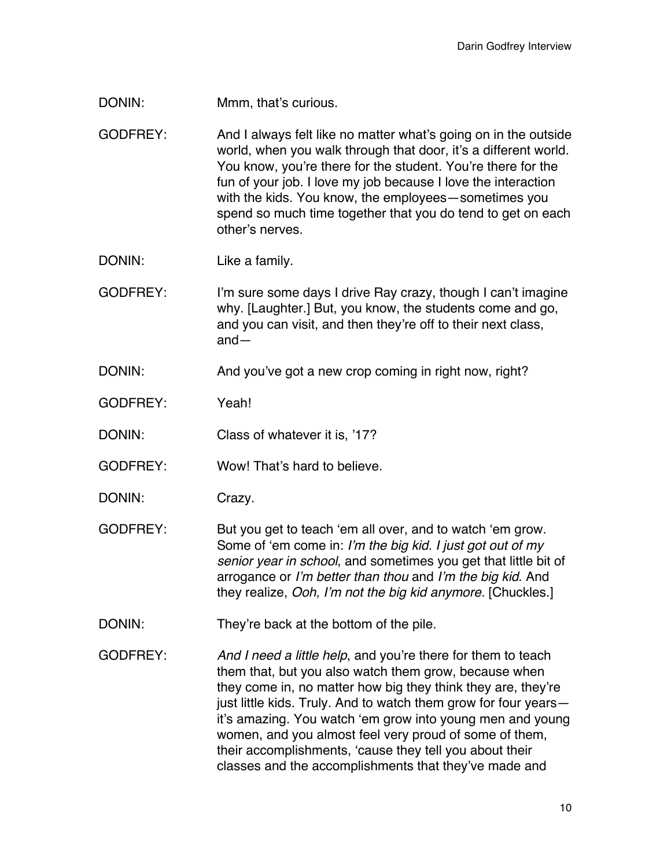- DONIN: Mmm, that's curious.
- GODFREY: And I always felt like no matter what's going on in the outside world, when you walk through that door, it's a different world. You know, you're there for the student. You're there for the fun of your job. I love my job because I love the interaction with the kids. You know, the employees—sometimes you spend so much time together that you do tend to get on each other's nerves.
- DONIN: Like a family.
- GODFREY: I'm sure some days I drive Ray crazy, though I can't imagine why. [Laughter.] But, you know, the students come and go, and you can visit, and then they're off to their next class, and—
- DONIN: And you've got a new crop coming in right now, right?
- GODFREY: Yeah!
- DONIN: Class of whatever it is, '17?
- GODFREY: Wow! That's hard to believe.
- DONIN: Crazy.
- GODFREY: But you get to teach 'em all over, and to watch 'em grow. Some of 'em come in: *I'm the big kid. I just got out of my senior year in school*, and sometimes you get that little bit of arrogance or *I'm better than thou* and *I'm the big kid*. And they realize, *Ooh, I'm not the big kid anymore.* [Chuckles.]
- DONIN: They're back at the bottom of the pile.
- GODFREY: *And I need a little help*, and you're there for them to teach them that, but you also watch them grow, because when they come in, no matter how big they think they are, they're just little kids. Truly. And to watch them grow for four years it's amazing. You watch 'em grow into young men and young women, and you almost feel very proud of some of them, their accomplishments, 'cause they tell you about their classes and the accomplishments that they've made and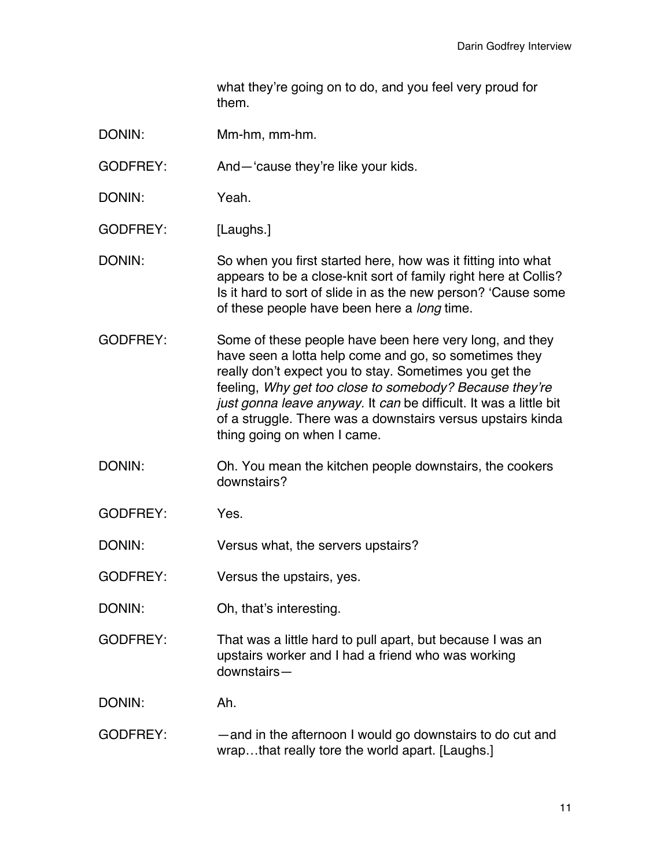what they're going on to do, and you feel very proud for them.

- DONIN: Mm-hm, mm-hm.
- GODFREY: And—'cause they're like your kids.
- DONIN: Yeah.
- GODFREY: [Laughs.]
- DONIN: So when you first started here, how was it fitting into what appears to be a close-knit sort of family right here at Collis? Is it hard to sort of slide in as the new person? 'Cause some of these people have been here a *long* time.
- GODFREY: Some of these people have been here very long, and they have seen a lotta help come and go, so sometimes they really don't expect you to stay. Sometimes you get the feeling, *Why get too close to somebody? Because they're just gonna leave anyway.* It *can* be difficult. It was a little bit of a struggle. There was a downstairs versus upstairs kinda thing going on when I came.
- DONIN: Oh. You mean the kitchen people downstairs, the cookers downstairs?
- GODFREY: Yes.
- DONIN: Versus what, the servers upstairs?
- GODFREY: Versus the upstairs, yes.
- DONIN: Oh, that's interesting.
- GODFREY: That was a little hard to pull apart, but because I was an upstairs worker and I had a friend who was working downstairs—
- DONIN: Ah.
- GODFREY: —and in the afternoon I would go downstairs to do cut and wrap...that really tore the world apart. [Laughs.]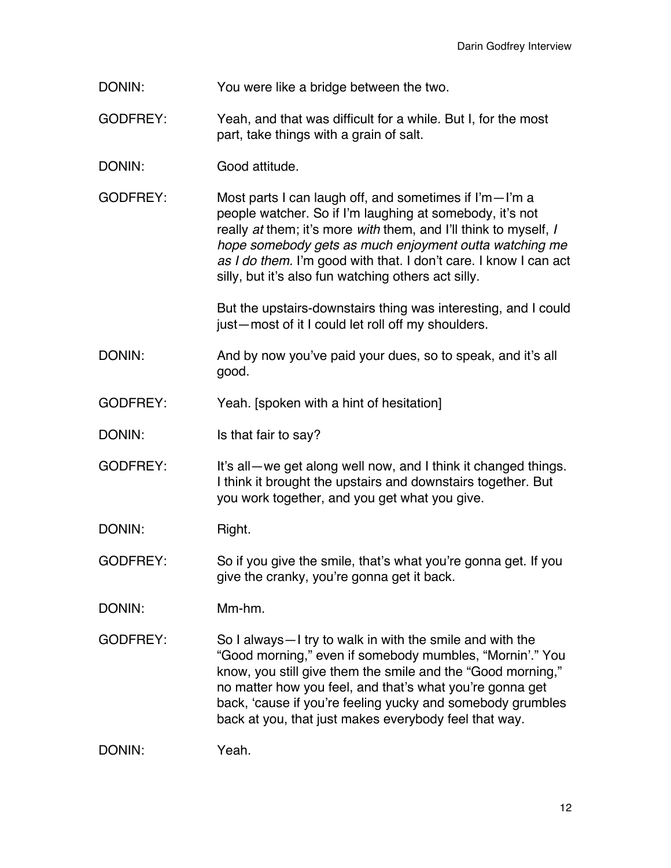DONIN: You were like a bridge between the two.

- GODFREY: Yeah, and that was difficult for a while. But I, for the most part, take things with a grain of salt.
- DONIN: Good attitude.
- GODFREY: Most parts I can laugh off, and sometimes if I'm—I'm a people watcher. So if I'm laughing at somebody, it's not really *at* them; it's more *with* them, and I'll think to myself, *I hope somebody gets as much enjoyment outta watching me as I do them.* I'm good with that. I don't care. I know I can act silly, but it's also fun watching others act silly.

But the upstairs-downstairs thing was interesting, and I could just—most of it I could let roll off my shoulders.

- DONIN: And by now you've paid your dues, so to speak, and it's all good.
- GODFREY: Yeah. [spoken with a hint of hesitation]
- DONIN: Is that fair to say?
- GODFREY: It's all—we get along well now, and I think it changed things. I think it brought the upstairs and downstairs together. But you work together, and you get what you give.
- DONIN: Right.

GODFREY: So if you give the smile, that's what you're gonna get. If you give the cranky, you're gonna get it back.

- DONIN: Mm-hm.
- GODFREY: So I always—I try to walk in with the smile and with the "Good morning," even if somebody mumbles, "Mornin'." You know, you still give them the smile and the "Good morning," no matter how you feel, and that's what you're gonna get back, 'cause if you're feeling yucky and somebody grumbles back at you, that just makes everybody feel that way.

DONIN: Yeah.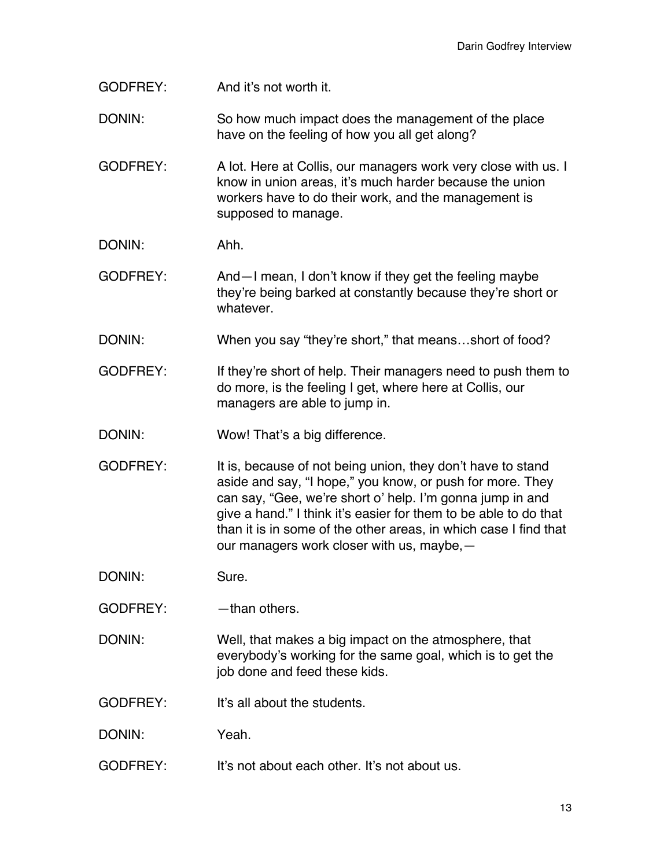- GODFREY: And it's not worth it.
- DONIN: So how much impact does the management of the place have on the feeling of how you all get along?
- GODFREY: A lot. Here at Collis, our managers work very close with us. I know in union areas, it's much harder because the union workers have to do their work, and the management is supposed to manage.
- DONIN: Ahh.
- GODFREY: And—I mean, I don't know if they get the feeling maybe they're being barked at constantly because they're short or whatever.
- DONIN: When you say "they're short," that means...short of food?
- GODFREY: If they're short of help. Their managers need to push them to do more, is the feeling I get, where here at Collis, our managers are able to jump in.
- DONIN: Wow! That's a big difference.
- GODFREY: It is, because of not being union, they don't have to stand aside and say, "I hope," you know, or push for more. They can say, "Gee, we're short o' help. I'm gonna jump in and give a hand." I think it's easier for them to be able to do that than it is in some of the other areas, in which case I find that our managers work closer with us, maybe,—
- DONIN: Sure.
- GODFREY: — than others.
- DONIN: Well, that makes a big impact on the atmosphere, that everybody's working for the same goal, which is to get the job done and feed these kids.
- GODFREY: It's all about the students.
- DONIN: Yeah.
- GODFREY: It's not about each other. It's not about us.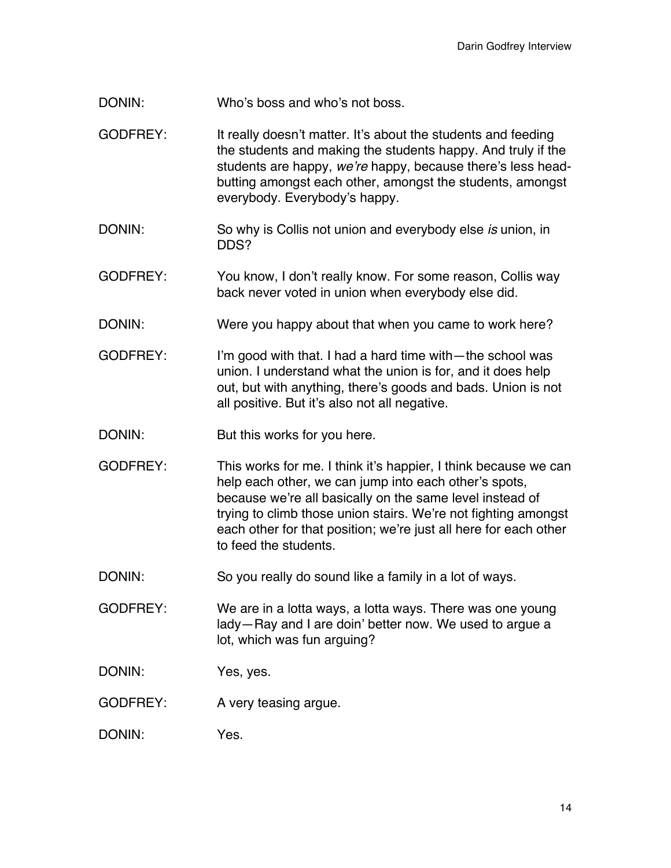- DONIN: Who's boss and who's not boss.
- GODFREY: It really doesn't matter. It's about the students and feeding the students and making the students happy. And truly if the students are happy, *we're* happy, because there's less headbutting amongst each other, amongst the students, amongst everybody. Everybody's happy.
- DONIN: So why is Collis not union and everybody else *is* union, in DDS?
- GODFREY: You know, I don't really know. For some reason, Collis way back never voted in union when everybody else did.
- DONIN: Were you happy about that when you came to work here?
- GODFREY: I'm good with that. I had a hard time with—the school was union. I understand what the union is for, and it does help out, but with anything, there's goods and bads. Union is not all positive. But it's also not all negative.
- DONIN: But this works for you here.
- GODFREY: This works for me. I think it's happier, I think because we can help each other, we can jump into each other's spots, because we're all basically on the same level instead of trying to climb those union stairs. We're not fighting amongst each other for that position; we're just all here for each other to feed the students.
- DONIN: So you really do sound like a family in a lot of ways.
- GODFREY: We are in a lotta ways, a lotta ways. There was one young lady—Ray and I are doin' better now. We used to argue a lot, which was fun arguing?
- DONIN: Yes, yes.
- GODFREY: A very teasing argue.
- DONIN: Yes.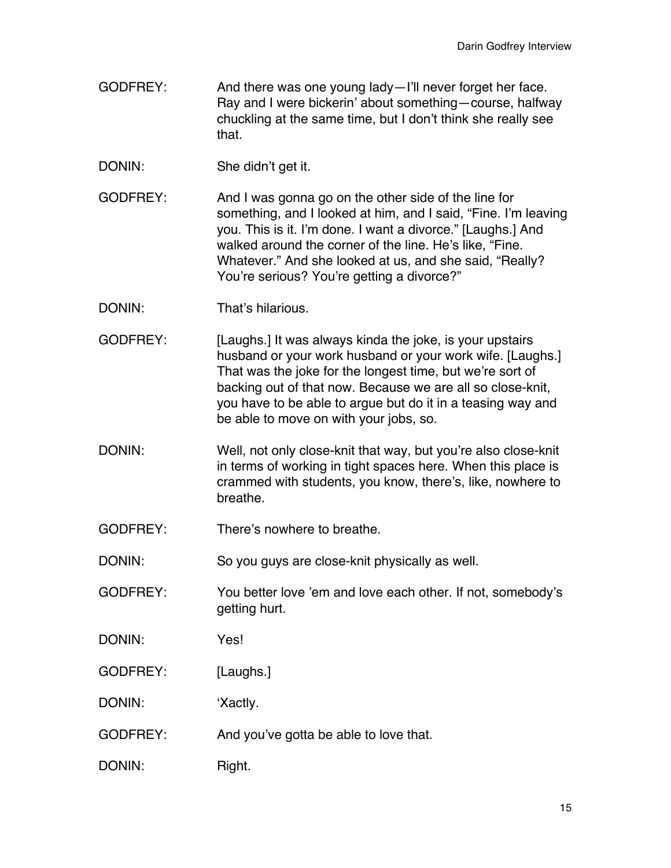- GODFREY: And there was one young lady—I'll never forget her face. Ray and I were bickerin' about something—course, halfway chuckling at the same time, but I don't think she really see that.
- DONIN: She didn't get it.
- GODFREY: And I was gonna go on the other side of the line for something, and I looked at him, and I said, "Fine. I'm leaving you. This is it. I'm done. I want a divorce." [Laughs.] And walked around the corner of the line. He's like, "Fine. Whatever." And she looked at us, and she said, "Really? You're serious? You're getting a divorce?"
- DONIN: That's hilarious.
- GODFREY: [Laughs.] It was always kinda the joke, is your upstairs husband or your work husband or your work wife. [Laughs.] That was the joke for the longest time, but we're sort of backing out of that now. Because we are all so close-knit, you have to be able to argue but do it in a teasing way and be able to move on with your jobs, so.
- DONIN: Well, not only close-knit that way, but you're also close-knit in terms of working in tight spaces here. When this place is crammed with students, you know, there's, like, nowhere to breathe.
- GODFREY: There's nowhere to breathe.

DONIN: So you guys are close-knit physically as well.

- GODFREY: You better love 'em and love each other. If not, somebody's getting hurt.
- DONIN: Yes!
- GODFREY: [Laughs.]
- DONIN: 'Xactly.
- GODFREY: And you've gotta be able to love that.
- DONIN: Right.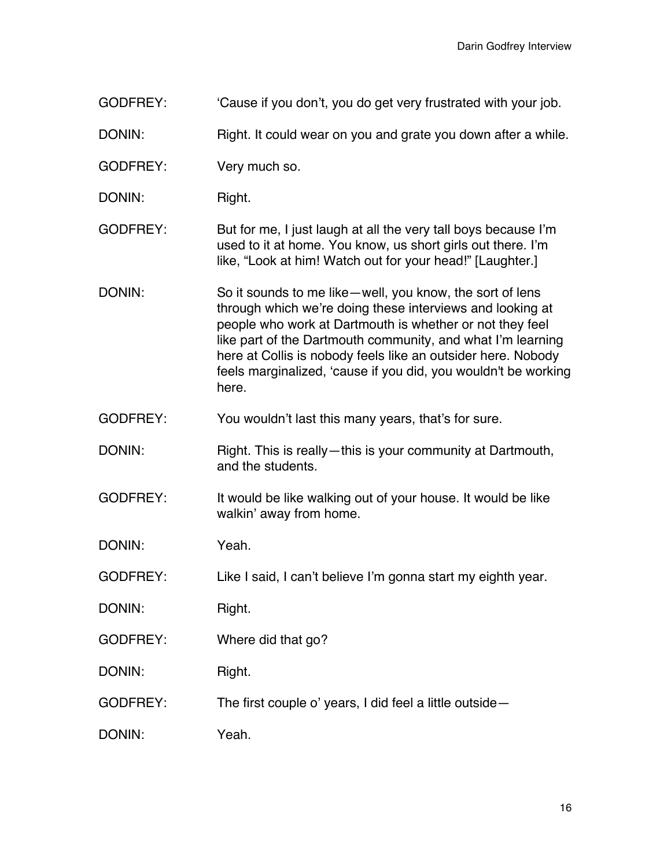GODFREY: Cause if you don't, you do get very frustrated with your job.

DONIN: Right. It could wear on you and grate you down after a while.

- GODFREY: Very much so.
- DONIN: Right.
- GODFREY: But for me, I just laugh at all the very tall boys because I'm used to it at home. You know, us short girls out there. I'm like, "Look at him! Watch out for your head!" [Laughter.]
- DONIN: So it sounds to me like—well, you know, the sort of lens through which we're doing these interviews and looking at people who work at Dartmouth is whether or not they feel like part of the Dartmouth community, and what I'm learning here at Collis is nobody feels like an outsider here. Nobody feels marginalized, 'cause if you did, you wouldn't be working here.
- GODFREY: You wouldn't last this many years, that's for sure.
- DONIN: Right. This is really—this is your community at Dartmouth, and the students.
- GODFREY: It would be like walking out of your house. It would be like walkin' away from home.
- DONIN: Yeah.
- GODFREY: Like I said, I can't believe I'm gonna start my eighth year.
- DONIN: Right.
- GODFREY: Where did that go?
- DONIN: Right.
- GODFREY: The first couple o' years, I did feel a little outside—
- DONIN: Yeah.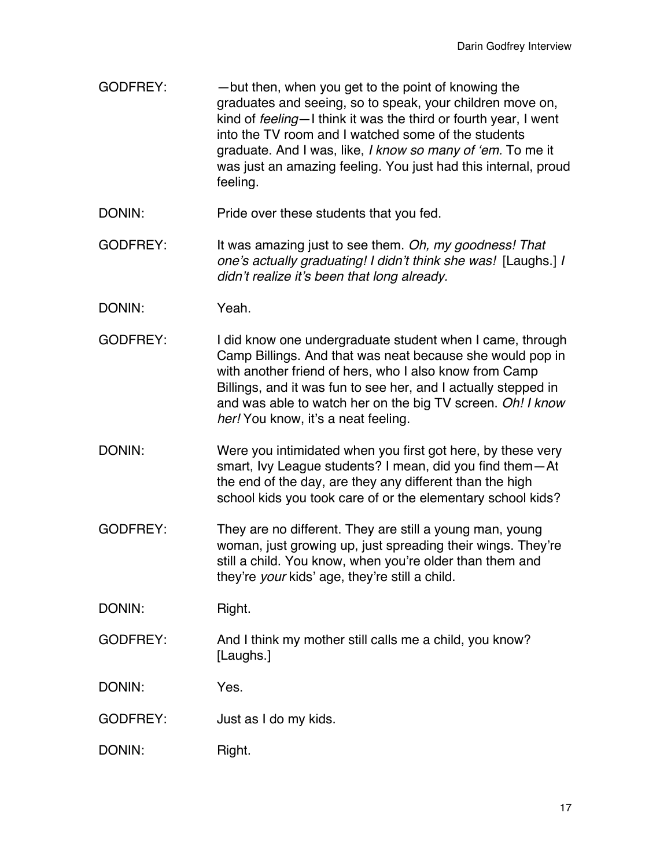- GODFREY: — but then, when you get to the point of knowing the graduates and seeing, so to speak, your children move on, kind of *feeling*—I think it was the third or fourth year, I went into the TV room and I watched some of the students graduate. And I was, like, *I know so many of 'em.* To me it was just an amazing feeling. You just had this internal, proud feeling.
- DONIN: Pride over these students that you fed.
- GODFREY: It was amazing just to see them. *Oh, my goodness! That one's actually graduating! I didn't think she was!* [Laughs.] *I didn't realize it's been that long already.*
- DONIN: Yeah.
- GODFREY: I did know one undergraduate student when I came, through Camp Billings. And that was neat because she would pop in with another friend of hers, who I also know from Camp Billings, and it was fun to see her, and I actually stepped in and was able to watch her on the big TV screen. *Oh! I know her!* You know, it's a neat feeling.
- DONIN: Were you intimidated when you first got here, by these very smart, Ivy League students? I mean, did you find them—At the end of the day, are they any different than the high school kids you took care of or the elementary school kids?
- GODFREY: They are no different. They are still a young man, young woman, just growing up, just spreading their wings. They're still a child. You know, when you're older than them and they're *your* kids' age, they're still a child.
- DONIN: Right.
- GODFREY: And I think my mother still calls me a child, you know? [Laughs.]
- DONIN: Yes.
- GODFREY: Just as I do my kids.
- DONIN: Right.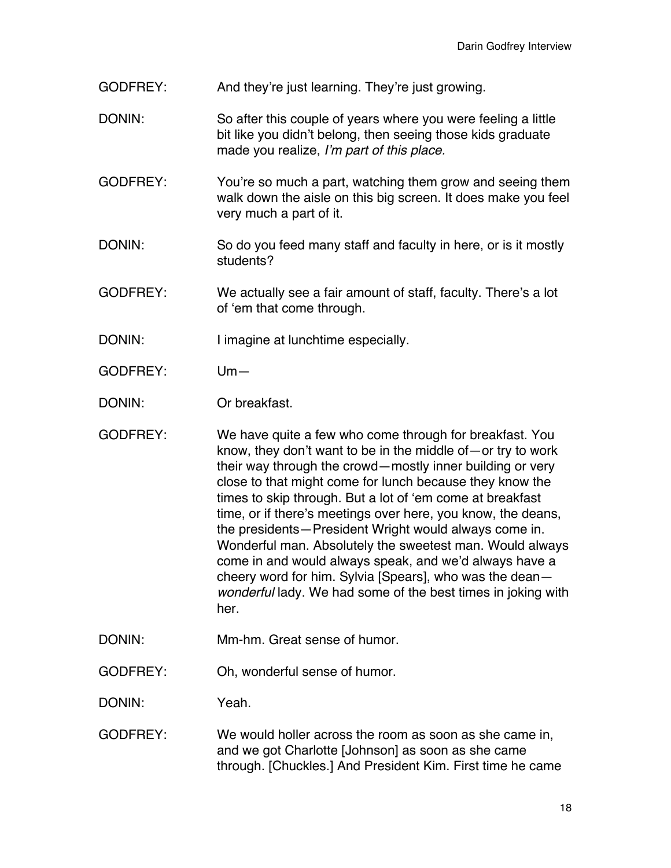- GODFREY: And they're just learning. They're just growing.
- DONIN: So after this couple of years where you were feeling a little bit like you didn't belong, then seeing those kids graduate made you realize, *I'm part of this place.*
- GODFREY: You're so much a part, watching them grow and seeing them walk down the aisle on this big screen. It does make you feel very much a part of it.
- DONIN: So do you feed many staff and faculty in here, or is it mostly students?
- GODFREY: We actually see a fair amount of staff, faculty. There's a lot of 'em that come through.
- DONIN: I imagine at lunchtime especially.
- GODFREY: Um—

DONIN: Or breakfast.

- GODFREY: We have quite a few who come through for breakfast. You know, they don't want to be in the middle of—or try to work their way through the crowd—mostly inner building or very close to that might come for lunch because they know the times to skip through. But a lot of 'em come at breakfast time, or if there's meetings over here, you know, the deans, the presidents—President Wright would always come in. Wonderful man. Absolutely the sweetest man. Would always come in and would always speak, and we'd always have a cheery word for him. Sylvia [Spears], who was the dean *wonderful* lady. We had some of the best times in joking with her.
- DONIN: Mm-hm. Great sense of humor.

GODFREY: Oh, wonderful sense of humor.

DONIN: Yeah.

GODFREY: We would holler across the room as soon as she came in, and we got Charlotte [Johnson] as soon as she came through. [Chuckles.] And President Kim. First time he came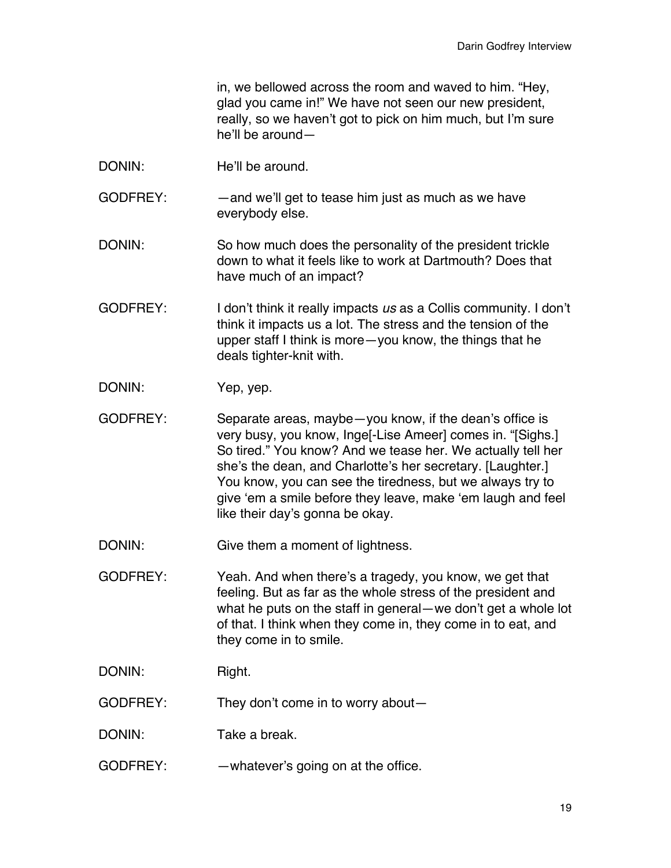in, we bellowed across the room and waved to him. "Hey, glad you came in!" We have not seen our new president, really, so we haven't got to pick on him much, but I'm sure he'll be around—

- DONIN: He'll be around.
- GODFREY: —and we'll get to tease him just as much as we have everybody else.
- DONIN: So how much does the personality of the president trickle down to what it feels like to work at Dartmouth? Does that have much of an impact?
- GODFREY: I don't think it really impacts *us* as a Collis community. I don't think it impacts us a lot. The stress and the tension of the upper staff I think is more—you know, the things that he deals tighter-knit with.
- DONIN: Yep, yep.
- GODFREY: Separate areas, maybe—you know, if the dean's office is very busy, you know, Inge[-Lise Ameer] comes in. "[Sighs.] So tired." You know? And we tease her. We actually tell her she's the dean, and Charlotte's her secretary. [Laughter.] You know, you can see the tiredness, but we always try to give 'em a smile before they leave, make 'em laugh and feel like their day's gonna be okay.
- DONIN: Give them a moment of lightness.
- GODFREY: Yeah. And when there's a tragedy, you know, we get that feeling. But as far as the whole stress of the president and what he puts on the staff in general—we don't get a whole lot of that. I think when they come in, they come in to eat, and they come in to smile.
- DONIN: Right.
- GODFREY: They don't come in to worry about—
- DONIN: Take a break.
- GODFREY: —whatever's going on at the office.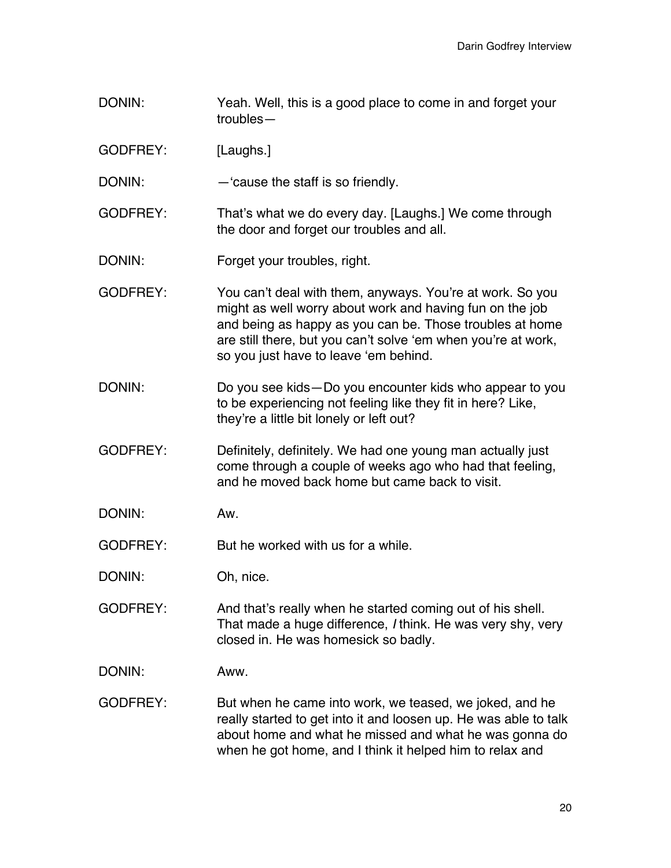- DONIN: Yeah. Well, this is a good place to come in and forget your troubles—
- GODFREY: [Laughs.]
- DONIN: —'cause the staff is so friendly.
- GODFREY: That's what we do every day. [Laughs.] We come through the door and forget our troubles and all.
- DONIN: Forget your troubles, right.
- GODFREY: You can't deal with them, anyways. You're at work. So you might as well worry about work and having fun on the job and being as happy as you can be. Those troubles at home are still there, but you can't solve 'em when you're at work, so you just have to leave 'em behind.
- DONIN: Do you see kids—Do you encounter kids who appear to you to be experiencing not feeling like they fit in here? Like, they're a little bit lonely or left out?
- GODFREY: Definitely, definitely. We had one young man actually just come through a couple of weeks ago who had that feeling, and he moved back home but came back to visit.
- DONIN: Aw.
- GODFREY: But he worked with us for a while.
- DONIN: Oh, nice.
- GODFREY: And that's really when he started coming out of his shell. That made a huge difference, *I* think. He was very shy, very closed in. He was homesick so badly.
- DONIN: Aww.
- GODFREY: But when he came into work, we teased, we joked, and he really started to get into it and loosen up. He was able to talk about home and what he missed and what he was gonna do when he got home, and I think it helped him to relax and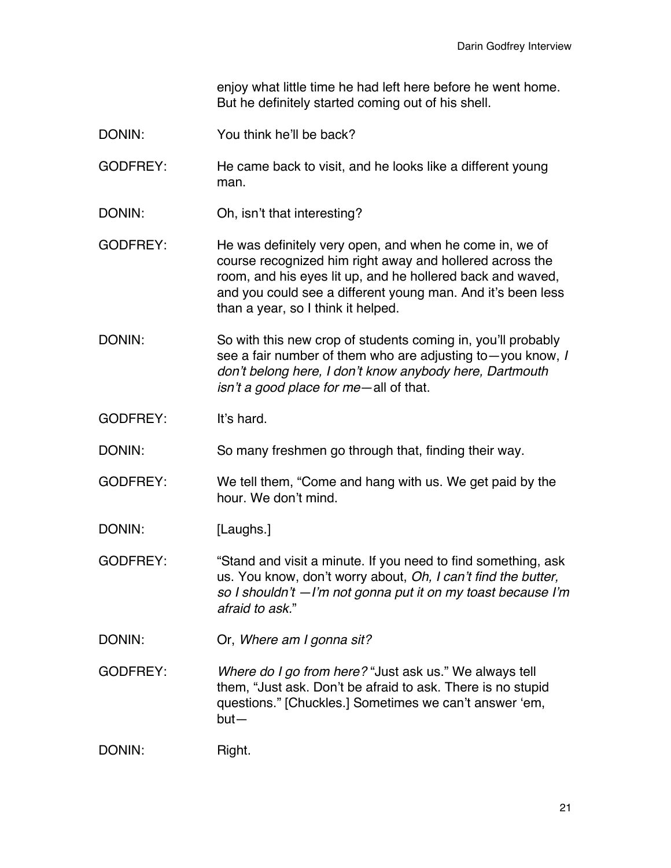enjoy what little time he had left here before he went home. But he definitely started coming out of his shell.

- DONIN: You think he'll be back?
- GODFREY: He came back to visit, and he looks like a different young man.
- DONIN: Oh, isn't that interesting?
- GODFREY: He was definitely very open, and when he come in, we of course recognized him right away and hollered across the room, and his eyes lit up, and he hollered back and waved, and you could see a different young man. And it's been less than a year, so I think it helped.
- DONIN: So with this new crop of students coming in, you'll probably see a fair number of them who are adjusting to—you know, *I don't belong here, I don't know anybody here, Dartmouth isn't a good place for me*—all of that.
- GODFREY: It's hard.

DONIN: So many freshmen go through that, finding their way.

- GODFREY: We tell them, "Come and hang with us. We get paid by the hour. We don't mind.
- DONIN: [Laughs.]
- GODFREY: "Stand and visit a minute. If you need to find something, ask us. You know, don't worry about, *Oh, I can't find the butter, so I shouldn't —I'm not gonna put it on my toast because I'm afraid to ask.*"

DONIN: Or, *Where am I gonna sit?*

GODFREY: *Where do I go from here?* "Just ask us." We always tell them, "Just ask. Don't be afraid to ask. There is no stupid questions." [Chuckles.] Sometimes we can't answer 'em, but—

DONIN: Right.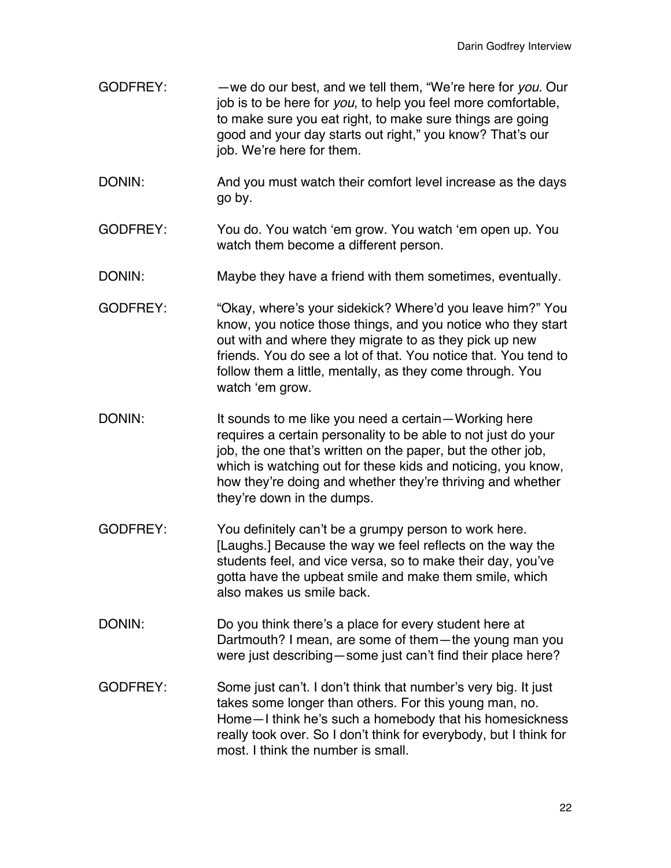- GODFREY: —we do our best, and we tell them, "We're here for *you*. Our job is to be here for *you*, to help you feel more comfortable, to make sure you eat right, to make sure things are going good and your day starts out right," you know? That's our job. We're here for them.
- DONIN: And you must watch their comfort level increase as the days go by.
- GODFREY: You do. You watch 'em grow. You watch 'em open up. You watch them become a different person.
- DONIN: Maybe they have a friend with them sometimes, eventually.
- GODFREY: "Okay, where's your sidekick? Where'd you leave him?" You know, you notice those things, and you notice who they start out with and where they migrate to as they pick up new friends. You do see a lot of that. You notice that. You tend to follow them a little, mentally, as they come through. You watch 'em grow.
- DONIN: It sounds to me like you need a certain—Working here requires a certain personality to be able to not just do your job, the one that's written on the paper, but the other job, which is watching out for these kids and noticing, you know, how they're doing and whether they're thriving and whether they're down in the dumps.
- GODFREY: You definitely can't be a grumpy person to work here. [Laughs.] Because the way we feel reflects on the way the students feel, and vice versa, so to make their day, you've gotta have the upbeat smile and make them smile, which also makes us smile back.
- DONIN: Do you think there's a place for every student here at Dartmouth? I mean, are some of them—the young man you were just describing—some just can't find their place here?
- GODFREY: Some just can't. I don't think that number's very big. It just takes some longer than others. For this young man, no. Home—I think he's such a homebody that his homesickness really took over. So I don't think for everybody, but I think for most. I think the number is small.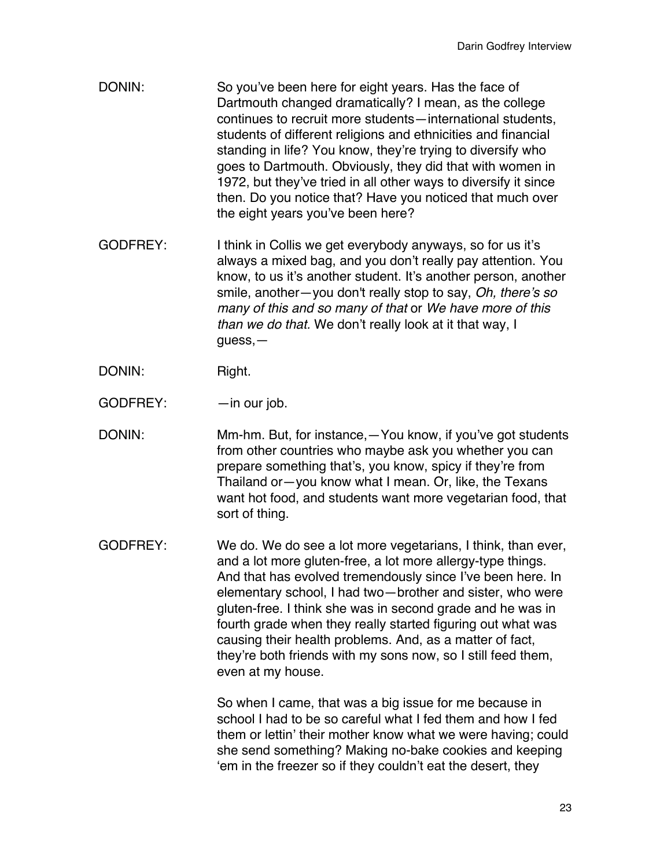- DONIN: So you've been here for eight years. Has the face of Dartmouth changed dramatically? I mean, as the college continues to recruit more students—international students, students of different religions and ethnicities and financial standing in life? You know, they're trying to diversify who goes to Dartmouth. Obviously, they did that with women in 1972, but they've tried in all other ways to diversify it since then. Do you notice that? Have you noticed that much over the eight years you've been here?
- GODFREY: I think in Collis we get everybody anyways, so for us it's always a mixed bag, and you don't really pay attention. You know, to us it's another student. It's another person, another smile, another—you don't really stop to say, *Oh, there's so many of this and so many of that* or *We have more of this than we do that.* We don't really look at it that way, I guess,—
- DONIN: Right.
- GODFREY: in our job.
- DONIN: Mm-hm. But, for instance,—You know, if you've got students from other countries who maybe ask you whether you can prepare something that's, you know, spicy if they're from Thailand or—you know what I mean. Or, like, the Texans want hot food, and students want more vegetarian food, that sort of thing.
- GODFREY: We do. We do see a lot more vegetarians, I think, than ever, and a lot more gluten-free, a lot more allergy-type things. And that has evolved tremendously since I've been here. In elementary school, I had two—brother and sister, who were gluten-free. I think she was in second grade and he was in fourth grade when they really started figuring out what was causing their health problems. And, as a matter of fact, they're both friends with my sons now, so I still feed them, even at my house.

So when I came, that was a big issue for me because in school I had to be so careful what I fed them and how I fed them or lettin' their mother know what we were having; could she send something? Making no-bake cookies and keeping 'em in the freezer so if they couldn't eat the desert, they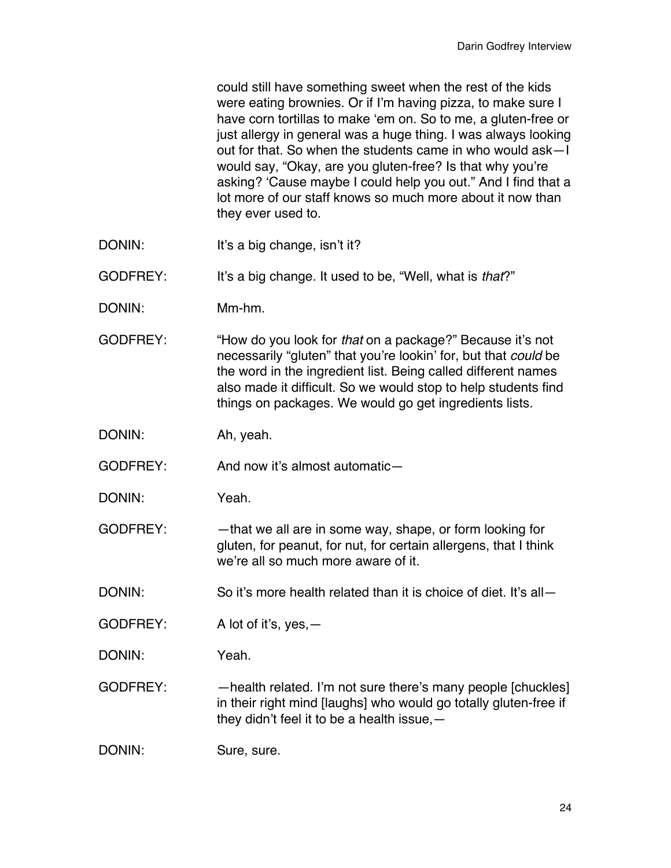could still have something sweet when the rest of the kids were eating brownies. Or if I'm having pizza, to make sure I have corn tortillas to make 'em on. So to me, a gluten-free or just allergy in general was a huge thing. I was always looking out for that. So when the students came in who would ask—I would say, "Okay, are you gluten-free? Is that why you're asking? 'Cause maybe I could help you out." And I find that a lot more of our staff knows so much more about it now than they ever used to.

DONIN: It's a big change, isn't it?

GODFREY: It's a big change. It used to be, "Well, what is *that*?"

DONIN: Mm-hm.

GODFREY: "How do you look for *that* on a package?" Because it's not necessarily "gluten" that you're lookin' for, but that *could* be the word in the ingredient list. Being called different names also made it difficult. So we would stop to help students find things on packages. We would go get ingredients lists.

DONIN: Ah, yeah.

GODFREY: And now it's almost automatic—

- DONIN: Yeah.
- GODFREY: that we all are in some way, shape, or form looking for gluten, for peanut, for nut, for certain allergens, that I think we're all so much more aware of it.
- DONIN: So it's more health related than it is choice of diet. It's all-
- GODFREY: A lot of it's, yes,—
- DONIN: Yeah.

GODFREY: —health related. I'm not sure there's many people [chuckles] in their right mind [laughs] who would go totally gluten-free if they didn't feel it to be a health issue,—

DONIN: Sure, sure.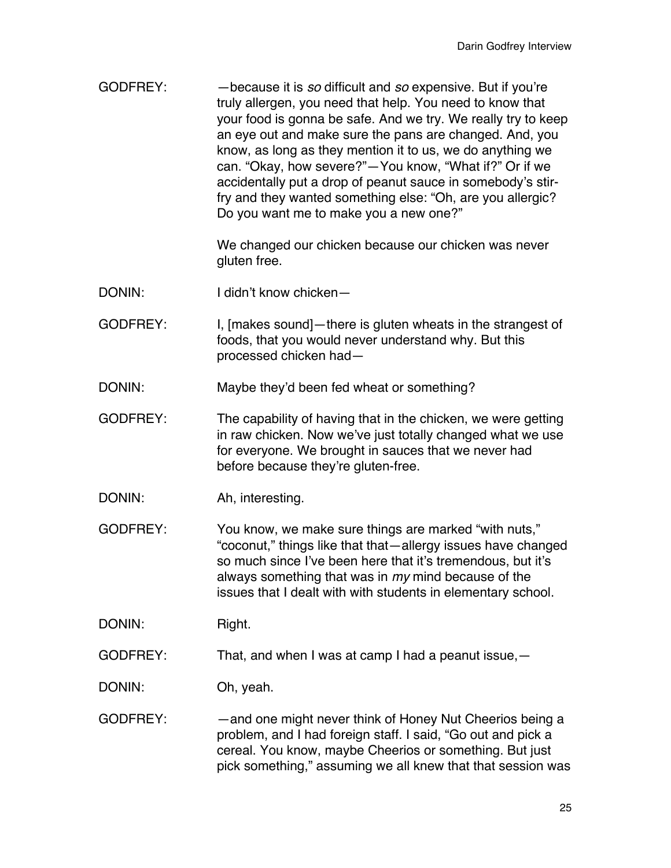GODFREY: —because it is *so* difficult and *so* expensive. But if you're truly allergen, you need that help. You need to know that your food is gonna be safe. And we try. We really try to keep an eye out and make sure the pans are changed. And, you know, as long as they mention it to us, we do anything we can. "Okay, how severe?"—You know, "What if?" Or if we accidentally put a drop of peanut sauce in somebody's stirfry and they wanted something else: "Oh, are you allergic? Do you want me to make you a new one?"

> We changed our chicken because our chicken was never gluten free.

- DONIN: I didn't know chicken—
- GODFREY: I, [makes sound]—there is gluten wheats in the strangest of foods, that you would never understand why. But this processed chicken had—
- DONIN: Maybe they'd been fed wheat or something?
- GODFREY: The capability of having that in the chicken, we were getting in raw chicken. Now we've just totally changed what we use for everyone. We brought in sauces that we never had before because they're gluten-free.
- DONIN: Ah, interesting.

GODFREY: You know, we make sure things are marked "with nuts," "coconut," things like that that—allergy issues have changed so much since I've been here that it's tremendous, but it's always something that was in *my* mind because of the issues that I dealt with with students in elementary school.

DONIN: Right.

GODFREY: That, and when I was at camp I had a peanut issue,—

DONIN: Oh, yeah.

GODFREY: — —and one might never think of Honey Nut Cheerios being a problem, and I had foreign staff. I said, "Go out and pick a cereal. You know, maybe Cheerios or something. But just pick something," assuming we all knew that that session was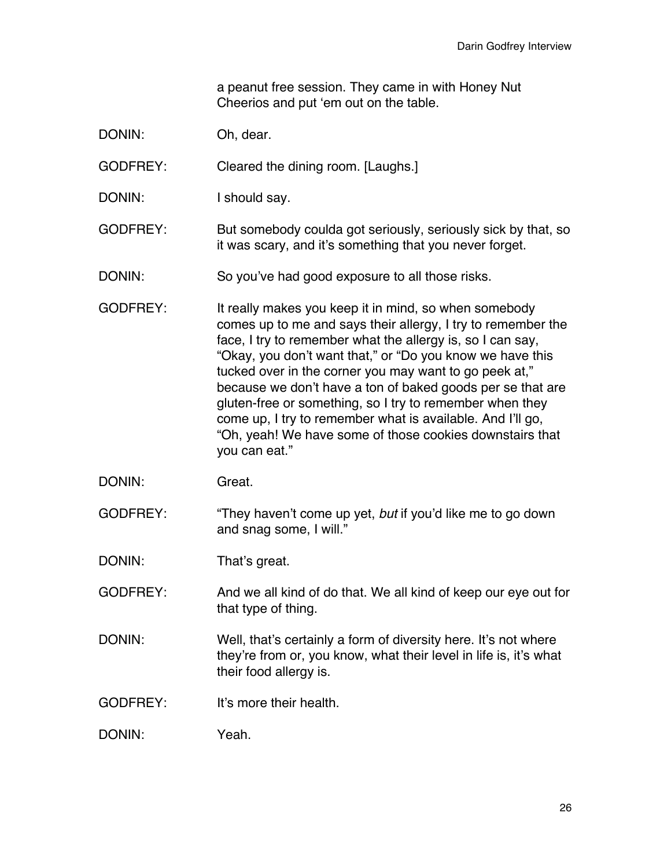a peanut free session. They came in with Honey Nut Cheerios and put 'em out on the table.

DONIN: Oh, dear.

GODFREY: Cleared the dining room. [Laughs.]

DONIN: I should say.

GODFREY: But somebody coulda got seriously, seriously sick by that, so it was scary, and it's something that you never forget.

DONIN: So you've had good exposure to all those risks.

GODFREY: It really makes you keep it in mind, so when somebody comes up to me and says their allergy, I try to remember the face, I try to remember what the allergy is, so I can say, "Okay, you don't want that," or "Do you know we have this tucked over in the corner you may want to go peek at," because we don't have a ton of baked goods per se that are gluten-free or something, so I try to remember when they come up, I try to remember what is available. And I'll go, "Oh, yeah! We have some of those cookies downstairs that you can eat."

DONIN: Great.

GODFREY: "They haven't come up yet, *but* if you'd like me to go down and snag some, I will."

DONIN: That's great.

GODFREY: And we all kind of do that. We all kind of keep our eye out for that type of thing.

- DONIN: Well, that's certainly a form of diversity here. It's not where they're from or, you know, what their level in life is, it's what their food allergy is.
- GODFREY: It's more their health.

DONIN: Yeah.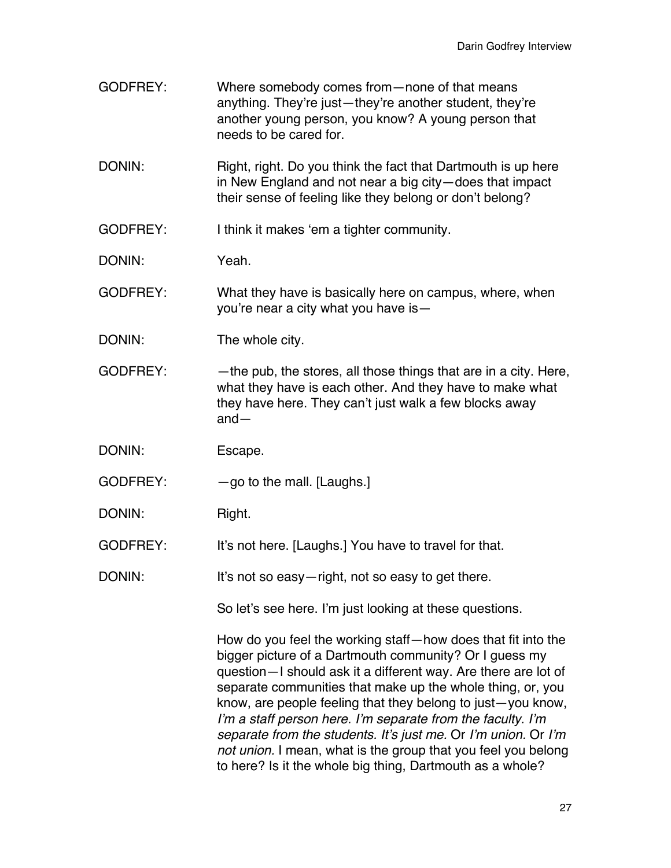| <b>GODFREY:</b> | Where somebody comes from – none of that means<br>anything. They're just-they're another student, they're<br>another young person, you know? A young person that<br>needs to be cared for.                                                                                                                                                                                                                                                                                                                                                                                           |
|-----------------|--------------------------------------------------------------------------------------------------------------------------------------------------------------------------------------------------------------------------------------------------------------------------------------------------------------------------------------------------------------------------------------------------------------------------------------------------------------------------------------------------------------------------------------------------------------------------------------|
| DONIN:          | Right, right. Do you think the fact that Dartmouth is up here<br>in New England and not near a big city-does that impact<br>their sense of feeling like they belong or don't belong?                                                                                                                                                                                                                                                                                                                                                                                                 |
| <b>GODFREY:</b> | I think it makes 'em a tighter community.                                                                                                                                                                                                                                                                                                                                                                                                                                                                                                                                            |
| DONIN:          | Yeah.                                                                                                                                                                                                                                                                                                                                                                                                                                                                                                                                                                                |
| <b>GODFREY:</b> | What they have is basically here on campus, where, when<br>you're near a city what you have is -                                                                                                                                                                                                                                                                                                                                                                                                                                                                                     |
| DONIN:          | The whole city.                                                                                                                                                                                                                                                                                                                                                                                                                                                                                                                                                                      |
| <b>GODFREY:</b> | -the pub, the stores, all those things that are in a city. Here,<br>what they have is each other. And they have to make what<br>they have here. They can't just walk a few blocks away<br>$and -$                                                                                                                                                                                                                                                                                                                                                                                    |
| DONIN:          | Escape.                                                                                                                                                                                                                                                                                                                                                                                                                                                                                                                                                                              |
| <b>GODFREY:</b> | $-$ go to the mall. [Laughs.]                                                                                                                                                                                                                                                                                                                                                                                                                                                                                                                                                        |
| DONIN:          | Right.                                                                                                                                                                                                                                                                                                                                                                                                                                                                                                                                                                               |
| <b>GODFREY:</b> | It's not here. [Laughs.] You have to travel for that.                                                                                                                                                                                                                                                                                                                                                                                                                                                                                                                                |
| DONIN:          | It's not so easy-right, not so easy to get there.                                                                                                                                                                                                                                                                                                                                                                                                                                                                                                                                    |
|                 | So let's see here. I'm just looking at these questions.                                                                                                                                                                                                                                                                                                                                                                                                                                                                                                                              |
|                 | How do you feel the working staff-how does that fit into the<br>bigger picture of a Dartmouth community? Or I guess my<br>question-I should ask it a different way. Are there are lot of<br>separate communities that make up the whole thing, or, you<br>know, are people feeling that they belong to just-you know,<br>I'm a staff person here. I'm separate from the faculty. I'm<br>separate from the students. It's just me. Or I'm union. Or I'm<br>not union. I mean, what is the group that you feel you belong<br>to here? Is it the whole big thing, Dartmouth as a whole? |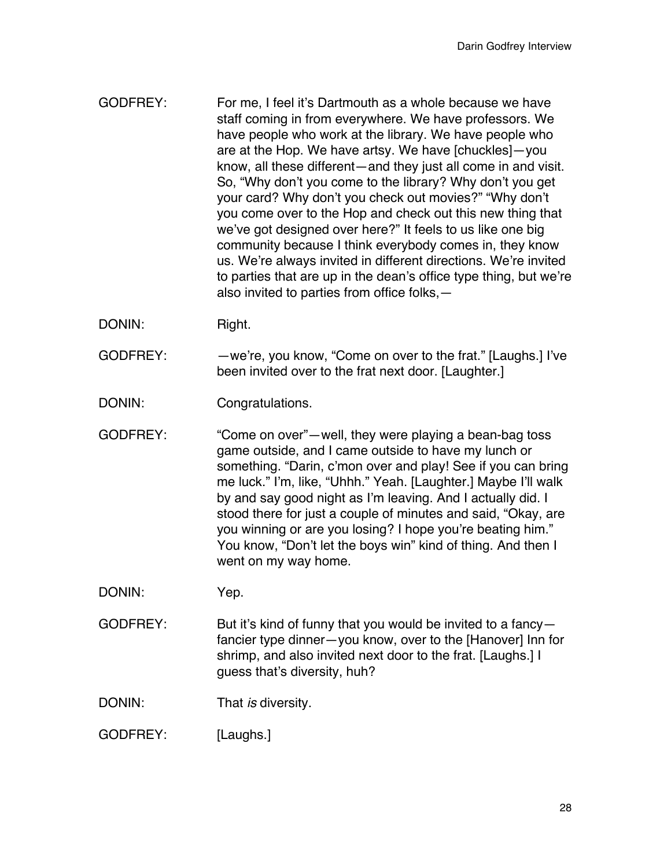- GODFREY: For me, I feel it's Dartmouth as a whole because we have staff coming in from everywhere. We have professors. We have people who work at the library. We have people who are at the Hop. We have artsy. We have [chuckles]—you know, all these different—and they just all come in and visit. So, "Why don't you come to the library? Why don't you get your card? Why don't you check out movies?" "Why don't you come over to the Hop and check out this new thing that we've got designed over here?" It feels to us like one big community because I think everybody comes in, they know us. We're always invited in different directions. We're invited to parties that are up in the dean's office type thing, but we're also invited to parties from office folks,—
- DONIN: Right.
- GODFREY: —we're, you know, "Come on over to the frat." [Laughs.] I've been invited over to the frat next door. [Laughter.]

DONIN: Congratulations.

- GODFREY: "Come on over"—well, they were playing a bean-bag toss game outside, and I came outside to have my lunch or something. "Darin, c'mon over and play! See if you can bring me luck." I'm, like, "Uhhh." Yeah. [Laughter.] Maybe I'll walk by and say good night as I'm leaving. And I actually did. I stood there for just a couple of minutes and said, "Okay, are you winning or are you losing? I hope you're beating him." You know, "Don't let the boys win" kind of thing. And then I went on my way home.
- DONIN: Yep.
- GODFREY: But it's kind of funny that you would be invited to a fancyfancier type dinner—you know, over to the [Hanover] Inn for shrimp, and also invited next door to the frat. [Laughs.] I guess that's diversity, huh?
- DONIN: That *is* diversity.
- GODFREY: [Laughs.]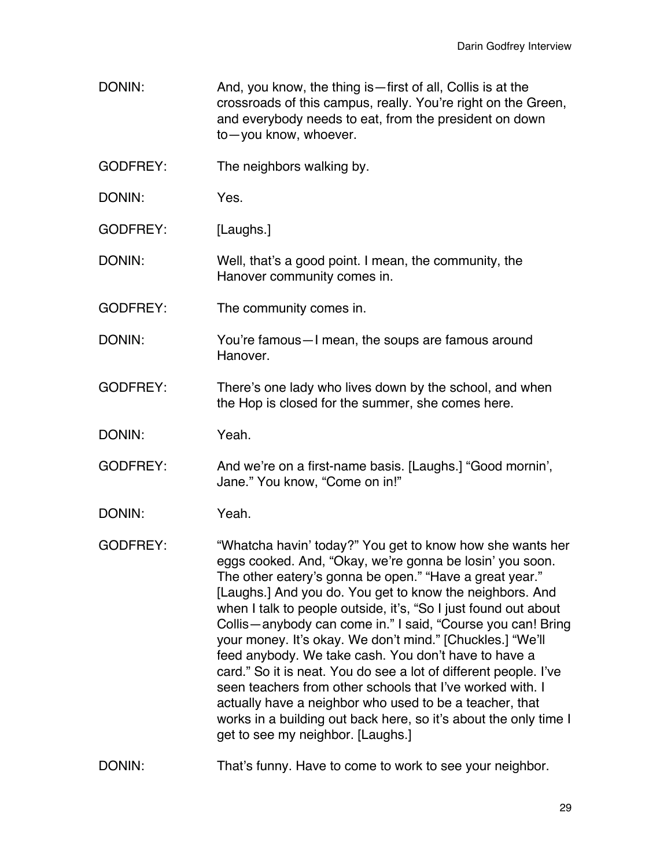- DONIN: And, you know, the thing is—first of all, Collis is at the crossroads of this campus, really. You're right on the Green, and everybody needs to eat, from the president on down to—you know, whoever.
- GODFREY: The neighbors walking by.
- DONIN: Yes.
- GODFREY: [Laughs.]
- DONIN: Well, that's a good point. I mean, the community, the Hanover community comes in.
- GODFREY: The community comes in.
- DONIN: You're famous—I mean, the soups are famous around Hanover.
- GODFREY: There's one lady who lives down by the school, and when the Hop is closed for the summer, she comes here.
- DONIN: Yeah.
- GODFREY: And we're on a first-name basis. [Laughs.] "Good mornin', Jane." You know, "Come on in!"
- DONIN: Yeah.
- GODFREY: "Whatcha havin' today?" You get to know how she wants her eggs cooked. And, "Okay, we're gonna be losin' you soon. The other eatery's gonna be open." "Have a great year." [Laughs.] And you do. You get to know the neighbors. And when I talk to people outside, it's, "So I just found out about Collis—anybody can come in." I said, "Course you can! Bring your money. It's okay. We don't mind." [Chuckles.] "We'll feed anybody. We take cash. You don't have to have a card." So it is neat. You do see a lot of different people. I've seen teachers from other schools that I've worked with. I actually have a neighbor who used to be a teacher, that works in a building out back here, so it's about the only time I get to see my neighbor. [Laughs.]
- DONIN: That's funny. Have to come to work to see your neighbor.